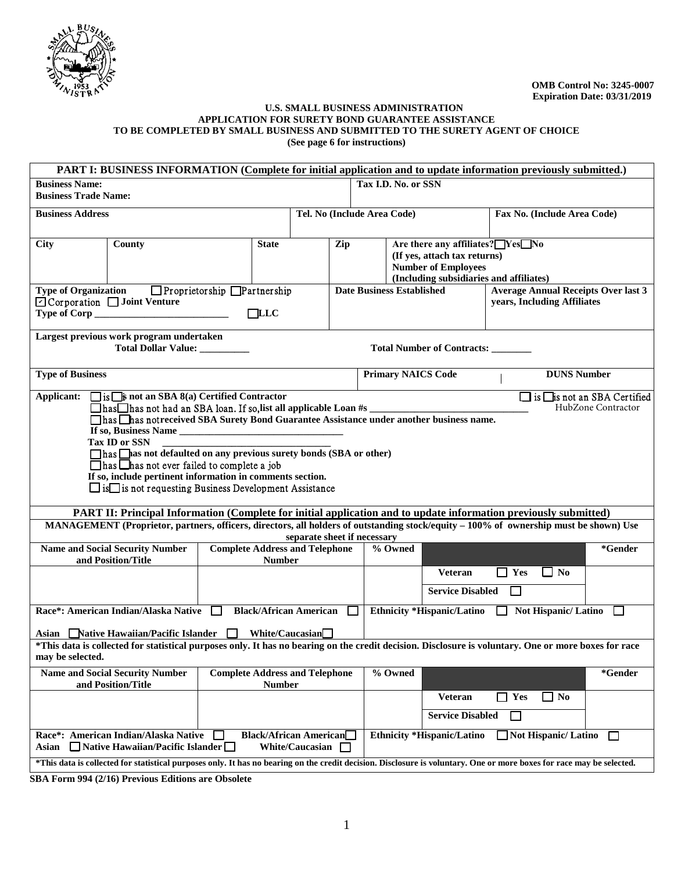

#### **U.S. SMALL BUSINESS ADMINISTRATION APPLICATION FOR SURETY BOND GUARANTEE ASSISTANCE TO BE COMPLETED BY SMALL BUSINESS AND SUBMITTED TO THE SURETY AGENT OF CHOICE (See page 6 for instructions)**

|                                                                                                                        |                                                                                                                                             | PART I: BUSINESS INFORMATION (Complete for initial application and to update information previously submitted.)                                                                                                                                                                                                                                                                                                                                                                                                                                                                                                                               |                                                         |         |                            |                                                                                                             |                                                     |                                                   |
|------------------------------------------------------------------------------------------------------------------------|---------------------------------------------------------------------------------------------------------------------------------------------|-----------------------------------------------------------------------------------------------------------------------------------------------------------------------------------------------------------------------------------------------------------------------------------------------------------------------------------------------------------------------------------------------------------------------------------------------------------------------------------------------------------------------------------------------------------------------------------------------------------------------------------------------|---------------------------------------------------------|---------|----------------------------|-------------------------------------------------------------------------------------------------------------|-----------------------------------------------------|---------------------------------------------------|
| <b>Business Name:</b><br><b>Business Trade Name:</b>                                                                   |                                                                                                                                             |                                                                                                                                                                                                                                                                                                                                                                                                                                                                                                                                                                                                                                               |                                                         |         | Tax I.D. No. or SSN        |                                                                                                             |                                                     |                                                   |
| <b>Business Address</b>                                                                                                |                                                                                                                                             |                                                                                                                                                                                                                                                                                                                                                                                                                                                                                                                                                                                                                                               | Tel. No (Include Area Code)                             |         |                            |                                                                                                             | Fax No. (Include Area Code)                         |                                                   |
| <b>City</b>                                                                                                            | County                                                                                                                                      | <b>State</b>                                                                                                                                                                                                                                                                                                                                                                                                                                                                                                                                                                                                                                  | Zip                                                     |         | <b>Number of Employees</b> | Are there any affiliates? Yes No<br>(If yes, attach tax returns)<br>(Including subsidiaries and affiliates) |                                                     |                                                   |
| <b>Type of Organization</b><br>$\Box$ Proprietorship $\Box$ Partnership<br>⊡ Corporation □ Joint Venture<br>$\Box$ LLC |                                                                                                                                             |                                                                                                                                                                                                                                                                                                                                                                                                                                                                                                                                                                                                                                               | <b>Date Business Established</b>                        |         |                            | <b>Average Annual Receipts Over last 3</b><br>years, Including Affiliates                                   |                                                     |                                                   |
|                                                                                                                        | Largest previous work program undertaken<br>Total Dollar Value: _________                                                                   |                                                                                                                                                                                                                                                                                                                                                                                                                                                                                                                                                                                                                                               |                                                         |         |                            | Total Number of Contracts: ________                                                                         |                                                     |                                                   |
| <b>Type of Business</b>                                                                                                |                                                                                                                                             |                                                                                                                                                                                                                                                                                                                                                                                                                                                                                                                                                                                                                                               |                                                         |         | <b>Primary NAICS Code</b>  |                                                                                                             | <b>DUNS Number</b>                                  |                                                   |
| Applicant:                                                                                                             | $\Box$ is $\Box$ is not an SBA 8(a) Certified Contractor<br><b>Tax ID or SSN</b><br>$\Box$ has $\Box$ has not ever failed to complete a job | $\Box$ has $\Box$ has not had an SBA loan. If so, list all applicable Loan #s<br>□has □has notreceived SBA Surety Bond Guarantee Assistance under another business name.<br>has has not defaulted on any previous surety bonds (SBA or other)<br>If so, include pertinent information in comments section.<br>$\Box$ is $\Box$ is not requesting Business Development Assistance<br>PART II: Principal Information (Complete for initial application and to update information previously submitted)<br>MANAGEMENT (Proprietor, partners, officers, directors, all holders of outstanding stock/equity - 100% of ownership must be shown) Use | separate sheet if necessary                             |         |                            |                                                                                                             |                                                     | is lis not an SBA Certified<br>HubZone Contractor |
|                                                                                                                        | <b>Name and Social Security Number</b><br>and Position/Title                                                                                | <b>Complete Address and Telephone</b><br><b>Number</b>                                                                                                                                                                                                                                                                                                                                                                                                                                                                                                                                                                                        |                                                         | % Owned |                            |                                                                                                             |                                                     | *Gender                                           |
|                                                                                                                        |                                                                                                                                             |                                                                                                                                                                                                                                                                                                                                                                                                                                                                                                                                                                                                                                               |                                                         |         |                            | <b>Veteran</b><br><b>Service Disabled</b>                                                                   | $\Box$ Yes<br>$\Box$ No<br>$\overline{\phantom{0}}$ |                                                   |
|                                                                                                                        | Race*: American Indian/Alaska Native                                                                                                        | <b>Black/African American</b><br>$\perp$<br>Asian Native Hawaiian/Pacific Islander Ninite/Caucasian                                                                                                                                                                                                                                                                                                                                                                                                                                                                                                                                           |                                                         | $\Box$  |                            | Ethnicity *Hispanic/Latino $\Box$                                                                           | <b>Not Hispanic/Latino</b>                          | $\mathbf{I}$                                      |
| may be selected.                                                                                                       |                                                                                                                                             | *This data is collected for statistical purposes only. It has no bearing on the credit decision. Disclosure is voluntary. One or more boxes for race                                                                                                                                                                                                                                                                                                                                                                                                                                                                                          |                                                         |         |                            |                                                                                                             |                                                     |                                                   |
|                                                                                                                        | <b>Name and Social Security Number</b><br>and Position/Title                                                                                | <b>Complete Address and Telephone</b><br><b>Number</b>                                                                                                                                                                                                                                                                                                                                                                                                                                                                                                                                                                                        |                                                         | % Owned |                            |                                                                                                             |                                                     | *Gender                                           |
|                                                                                                                        |                                                                                                                                             |                                                                                                                                                                                                                                                                                                                                                                                                                                                                                                                                                                                                                                               |                                                         |         |                            | <b>Veteran</b><br><b>Service Disabled</b>                                                                   | $\Box$ Yes<br>$\Box$ No<br>П                        |                                                   |
| Asian                                                                                                                  | Race*: American Indian/Alaska Native<br>$\Box$ Native Hawaiian/Pacific Islander $\Box$                                                      |                                                                                                                                                                                                                                                                                                                                                                                                                                                                                                                                                                                                                                               | <b>Black/African American</b><br>White/Caucasian $\Box$ |         | Ethnicity *Hispanic/Latino |                                                                                                             | Not Hispanic/ Latino                                | □                                                 |
|                                                                                                                        |                                                                                                                                             | *This data is collected for statistical purposes only. It has no bearing on the credit decision. Disclosure is voluntary. One or more boxes for race may be selected.                                                                                                                                                                                                                                                                                                                                                                                                                                                                         |                                                         |         |                            |                                                                                                             |                                                     |                                                   |

**SBA Form 994 (2/16) Previous Editions are Obsolete**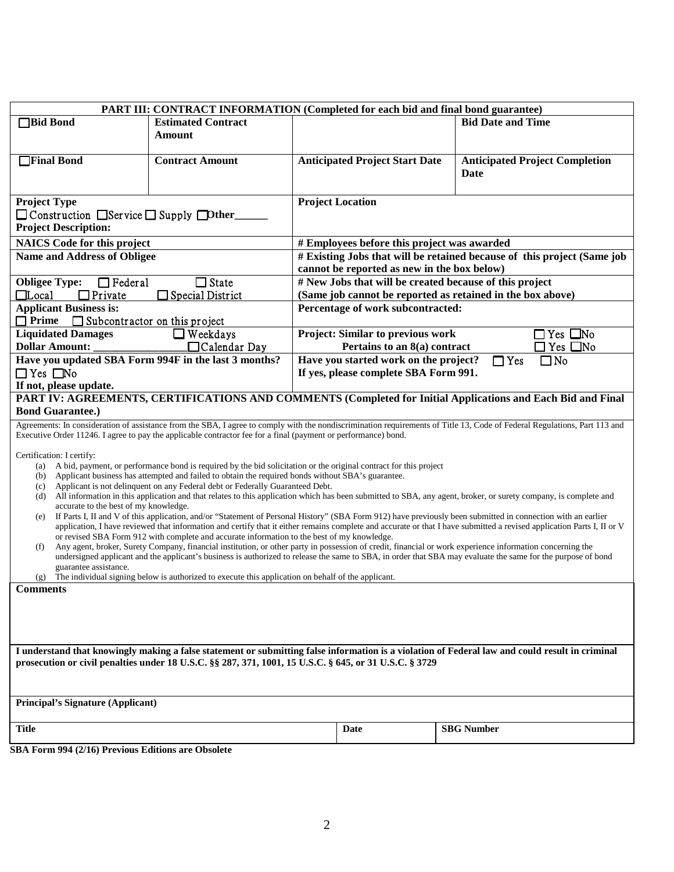|                                                      | <b>PART III: CONTRACT INFORMATION (Completed for each bid and final bond guarantee)</b>                                                                                                                                                                                                                                                |                                                                                                                         |                                                            |                          |                                       |  |  |  |
|------------------------------------------------------|----------------------------------------------------------------------------------------------------------------------------------------------------------------------------------------------------------------------------------------------------------------------------------------------------------------------------------------|-------------------------------------------------------------------------------------------------------------------------|------------------------------------------------------------|--------------------------|---------------------------------------|--|--|--|
| <b>Bid Bond</b>                                      | <b>Estimated Contract</b>                                                                                                                                                                                                                                                                                                              |                                                                                                                         |                                                            | <b>Bid Date and Time</b> |                                       |  |  |  |
|                                                      | <b>Amount</b>                                                                                                                                                                                                                                                                                                                          |                                                                                                                         |                                                            |                          |                                       |  |  |  |
|                                                      |                                                                                                                                                                                                                                                                                                                                        |                                                                                                                         |                                                            |                          |                                       |  |  |  |
| Final Bond                                           | <b>Contract Amount</b>                                                                                                                                                                                                                                                                                                                 |                                                                                                                         | <b>Anticipated Project Start Date</b>                      |                          | <b>Anticipated Project Completion</b> |  |  |  |
|                                                      |                                                                                                                                                                                                                                                                                                                                        |                                                                                                                         |                                                            | Date                     |                                       |  |  |  |
|                                                      |                                                                                                                                                                                                                                                                                                                                        |                                                                                                                         |                                                            |                          |                                       |  |  |  |
| <b>Project Type</b>                                  |                                                                                                                                                                                                                                                                                                                                        | <b>Project Location</b>                                                                                                 |                                                            |                          |                                       |  |  |  |
| □ Construction □ Service □ Supply □ Other            |                                                                                                                                                                                                                                                                                                                                        |                                                                                                                         |                                                            |                          |                                       |  |  |  |
| <b>Project Description:</b>                          |                                                                                                                                                                                                                                                                                                                                        |                                                                                                                         |                                                            |                          |                                       |  |  |  |
| <b>NAICS</b> Code for this project                   |                                                                                                                                                                                                                                                                                                                                        |                                                                                                                         |                                                            |                          |                                       |  |  |  |
| <b>Name and Address of Obligee</b>                   |                                                                                                                                                                                                                                                                                                                                        | # Employees before this project was awarded<br># Existing Jobs that will be retained because of this project (Same job) |                                                            |                          |                                       |  |  |  |
|                                                      |                                                                                                                                                                                                                                                                                                                                        |                                                                                                                         |                                                            |                          |                                       |  |  |  |
|                                                      |                                                                                                                                                                                                                                                                                                                                        | cannot be reported as new in the box below)                                                                             |                                                            |                          |                                       |  |  |  |
| <b>Obligee Type:</b><br>$\Box$ Federal               | $\Box$ State                                                                                                                                                                                                                                                                                                                           | # New Jobs that will be created because of this project                                                                 |                                                            |                          |                                       |  |  |  |
| $\Box$ Local<br>$\Box$ Private                       | Special District                                                                                                                                                                                                                                                                                                                       |                                                                                                                         | (Same job cannot be reported as retained in the box above) |                          |                                       |  |  |  |
| <b>Applicant Business is:</b>                        |                                                                                                                                                                                                                                                                                                                                        |                                                                                                                         | Percentage of work subcontracted:                          |                          |                                       |  |  |  |
| $\Box$ Prime<br>$\Box$ Subcontractor on this project |                                                                                                                                                                                                                                                                                                                                        |                                                                                                                         |                                                            |                          |                                       |  |  |  |
| <b>Liquidated Damages</b>                            | $\Box$ Weekdays                                                                                                                                                                                                                                                                                                                        |                                                                                                                         | <b>Project: Similar to previous work</b>                   |                          | $Yes \Box No$                         |  |  |  |
| <b>Dollar Amount:</b>                                | $\Box$ Calendar Day                                                                                                                                                                                                                                                                                                                    |                                                                                                                         | Pertains to an 8(a) contract                               |                          | l Yes □No                             |  |  |  |
|                                                      | Have you updated SBA Form 994F in the last 3 months?                                                                                                                                                                                                                                                                                   |                                                                                                                         | Have you started work on the project?                      | $\Box$ Yes               | $\square$ No                          |  |  |  |
| $\Box$ Yes $\Box$ No                                 | If yes, please complete SBA Form 991.                                                                                                                                                                                                                                                                                                  |                                                                                                                         |                                                            |                          |                                       |  |  |  |
| If not, please update.                               |                                                                                                                                                                                                                                                                                                                                        |                                                                                                                         |                                                            |                          |                                       |  |  |  |
|                                                      | PART IV: AGREEMENTS, CERTIFICATIONS AND COMMENTS (Completed for Initial Applications and Each Bid and Final                                                                                                                                                                                                                            |                                                                                                                         |                                                            |                          |                                       |  |  |  |
| <b>Bond Guarantee.)</b>                              |                                                                                                                                                                                                                                                                                                                                        |                                                                                                                         |                                                            |                          |                                       |  |  |  |
|                                                      | Agreements: In consideration of assistance from the SBA, I agree to comply with the nondiscrimination requirements of Title 13, Code of Federal Regulations, Part 113 and<br>Executive Order 11246. I agree to pay the applicable contractor fee for a final (payment or performance) bond.                                            |                                                                                                                         |                                                            |                          |                                       |  |  |  |
|                                                      |                                                                                                                                                                                                                                                                                                                                        |                                                                                                                         |                                                            |                          |                                       |  |  |  |
| Certification: I certify:                            | (a) A bid, payment, or performance bond is required by the bid solicitation or the original contract for this project                                                                                                                                                                                                                  |                                                                                                                         |                                                            |                          |                                       |  |  |  |
|                                                      | (b) Applicant business has attempted and failed to obtain the required bonds without SBA's guarantee.                                                                                                                                                                                                                                  |                                                                                                                         |                                                            |                          |                                       |  |  |  |
| (c)                                                  | Applicant is not delinquent on any Federal debt or Federally Guaranteed Debt.                                                                                                                                                                                                                                                          |                                                                                                                         |                                                            |                          |                                       |  |  |  |
| (d)                                                  | All information in this application and that relates to this application which has been submitted to SBA, any agent, broker, or surety company, is complete and                                                                                                                                                                        |                                                                                                                         |                                                            |                          |                                       |  |  |  |
| accurate to the best of my knowledge.                |                                                                                                                                                                                                                                                                                                                                        |                                                                                                                         |                                                            |                          |                                       |  |  |  |
| (e)                                                  | If Parts I, II and V of this application, and/or "Statement of Personal History" (SBA Form 912) have previously been submitted in connection with an earlier<br>application, I have reviewed that information and certify that it either remains complete and accurate or that I have submitted a revised application Parts I, II or V |                                                                                                                         |                                                            |                          |                                       |  |  |  |
|                                                      | or revised SBA Form 912 with complete and accurate information to the best of my knowledge.                                                                                                                                                                                                                                            |                                                                                                                         |                                                            |                          |                                       |  |  |  |
| (f)                                                  | Any agent, broker, Surety Company, financial institution, or other party in possession of credit, financial or work experience information concerning the                                                                                                                                                                              |                                                                                                                         |                                                            |                          |                                       |  |  |  |
|                                                      | undersigned applicant and the applicant's business is authorized to release the same to SBA, in order that SBA may evaluate the same for the purpose of bond                                                                                                                                                                           |                                                                                                                         |                                                            |                          |                                       |  |  |  |
| guarantee assistance.<br>(g)                         | The individual signing below is authorized to execute this application on behalf of the applicant.                                                                                                                                                                                                                                     |                                                                                                                         |                                                            |                          |                                       |  |  |  |
| <b>Comments</b>                                      |                                                                                                                                                                                                                                                                                                                                        |                                                                                                                         |                                                            |                          |                                       |  |  |  |
|                                                      |                                                                                                                                                                                                                                                                                                                                        |                                                                                                                         |                                                            |                          |                                       |  |  |  |
|                                                      |                                                                                                                                                                                                                                                                                                                                        |                                                                                                                         |                                                            |                          |                                       |  |  |  |
|                                                      |                                                                                                                                                                                                                                                                                                                                        |                                                                                                                         |                                                            |                          |                                       |  |  |  |
|                                                      |                                                                                                                                                                                                                                                                                                                                        |                                                                                                                         |                                                            |                          |                                       |  |  |  |
|                                                      | I understand that knowingly making a false statement or submitting false information is a violation of Federal law and could result in criminal                                                                                                                                                                                        |                                                                                                                         |                                                            |                          |                                       |  |  |  |
|                                                      | prosecution or civil penalties under 18 U.S.C. §§ 287, 371, 1001, 15 U.S.C. § 645, or 31 U.S.C. § 3729                                                                                                                                                                                                                                 |                                                                                                                         |                                                            |                          |                                       |  |  |  |
|                                                      |                                                                                                                                                                                                                                                                                                                                        |                                                                                                                         |                                                            |                          |                                       |  |  |  |
|                                                      |                                                                                                                                                                                                                                                                                                                                        |                                                                                                                         |                                                            |                          |                                       |  |  |  |
| <b>Principal's Signature (Applicant)</b>             |                                                                                                                                                                                                                                                                                                                                        |                                                                                                                         |                                                            |                          |                                       |  |  |  |
|                                                      |                                                                                                                                                                                                                                                                                                                                        |                                                                                                                         |                                                            |                          |                                       |  |  |  |
| <b>Title</b>                                         |                                                                                                                                                                                                                                                                                                                                        |                                                                                                                         | Date                                                       | <b>SBG</b> Number        |                                       |  |  |  |
|                                                      |                                                                                                                                                                                                                                                                                                                                        |                                                                                                                         |                                                            |                          |                                       |  |  |  |
| SBA Form 994 (2/16) Previous Editions are Obsolete   |                                                                                                                                                                                                                                                                                                                                        |                                                                                                                         |                                                            |                          |                                       |  |  |  |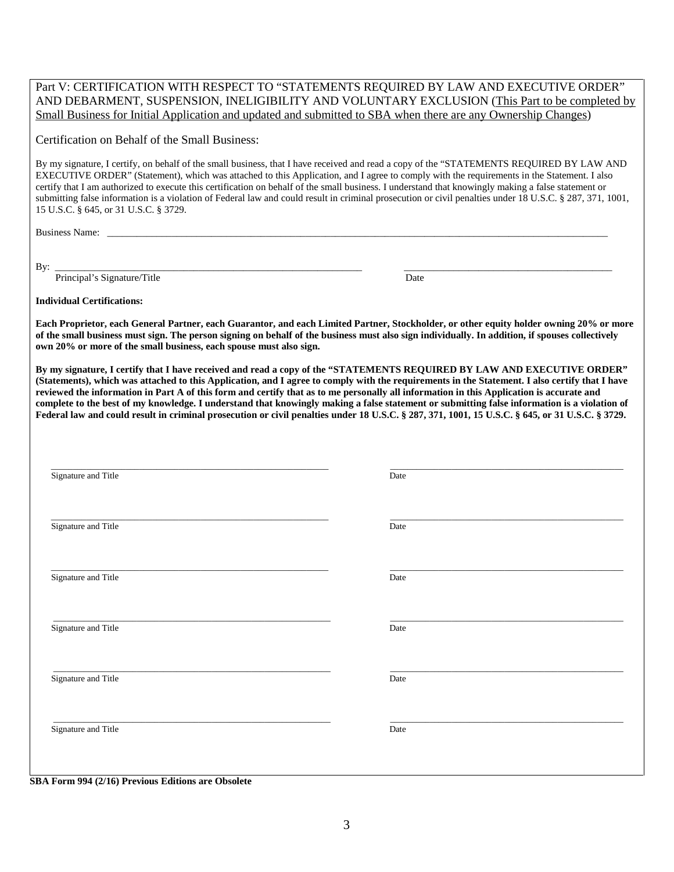Part V: CERTIFICATION WITH RESPECT TO "STATEMENTS REQUIRED BY LAW AND EXECUTIVE ORDER" AND DEBARMENT, SUSPENSION, INELIGIBILITY AND VOLUNTARY EXCLUSION (This Part to be completed by Small Business for Initial Application and updated and submitted to SBA when there are any Ownership Changes)

Certification on Behalf of the Small Business:

By my signature, I certify, on behalf of the small business, that I have received and read a copy of the "STATEMENTS REQUIRED BY LAW AND EXECUTIVE ORDER" (Statement), which was attached to this Application, and I agree to comply with the requirements in the Statement. I also certify that I am authorized to execute this certification on behalf of the small business. I understand that knowingly making a false statement or submitting false information is a violation of Federal law and could result in criminal prosecution or civil penalties under 18 U.S.C. § 287, 371, 1001, 15 U.S.C. § 645, or 31 U.S.C. § 3729.

Business Name: \_\_\_\_\_\_\_\_\_\_\_\_\_\_\_\_\_\_\_\_\_\_\_\_\_\_\_\_\_\_\_\_\_\_\_\_\_\_\_\_\_\_\_\_\_\_\_\_\_\_\_\_\_\_\_\_\_\_\_\_\_\_\_\_\_\_\_\_\_\_\_\_\_\_\_\_\_\_\_\_\_\_\_\_\_\_\_\_\_\_\_\_\_\_\_\_\_\_\_\_\_

By: \_\_\_\_\_\_\_\_\_\_\_\_\_\_\_\_\_\_\_\_\_\_\_\_\_\_\_\_\_\_\_\_\_\_\_\_\_\_\_\_\_\_\_\_\_\_\_\_\_\_\_\_\_\_\_\_\_\_\_\_\_\_ \_\_\_\_\_\_\_\_\_\_\_\_\_\_\_\_\_\_\_\_\_\_\_\_\_\_\_\_\_\_\_\_\_\_\_\_\_\_\_\_\_\_

Principal's Signature/Title Date

**Individual Certifications:**

**Each Proprietor, each General Partner, each Guarantor, and each Limited Partner, Stockholder, or other equity holder owning 20% or more of the small business must sign. The person signing on behalf of the business must also sign individually. In addition, if spouses collectively own 20% or more of the small business, each spouse must also sign.**

**By my signature, I certify that I have received and read a copy of the "STATEMENTS REQUIRED BY LAW AND EXECUTIVE ORDER" (Statements), which was attached to this Application, and I agree to comply with the requirements in the Statement. I also certify that I have reviewed the information in Part A of this form and certify that as to me personally all information in this Application is accurate and complete to the best of my knowledge. I understand that knowingly making a false statement or submitting false information is a violation of Federal law and could result in criminal prosecution or civil penalties under 18 U.S.C. § 287, 371, 1001, 15 U.S.C. § 645, or 31 U.S.C. § 3729.**

| Date |
|------|
| Date |
| Date |
| Date |
| Date |
| Date |
|      |

**SBA Form 994 (2/16) Previous Editions are Obsolete**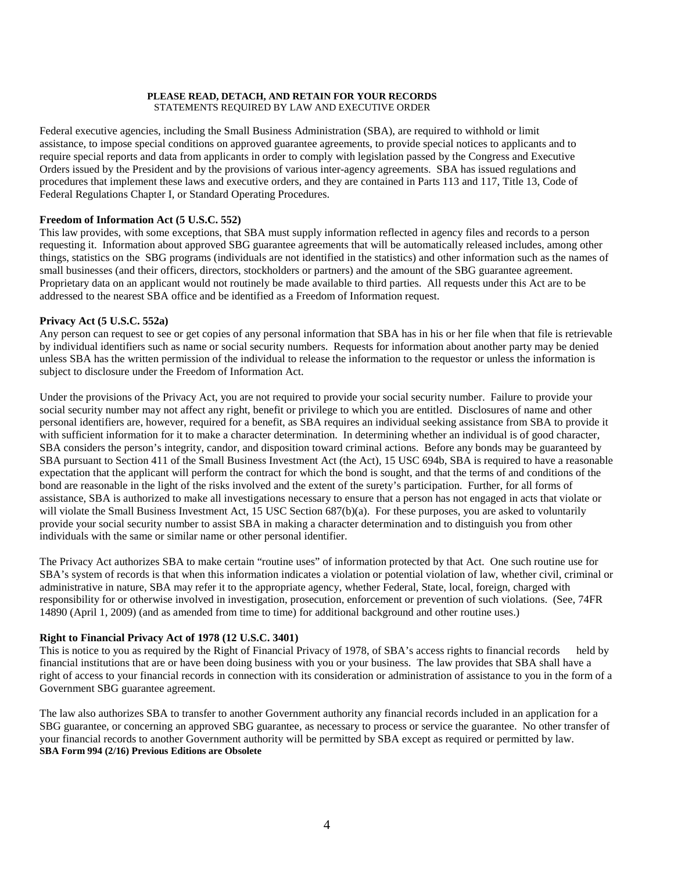#### **PLEASE READ, DETACH, AND RETAIN FOR YOUR RECORDS** STATEMENTS REQUIRED BY LAW AND EXECUTIVE ORDER

Federal executive agencies, including the Small Business Administration (SBA), are required to withhold or limit assistance, to impose special conditions on approved guarantee agreements, to provide special notices to applicants and to require special reports and data from applicants in order to comply with legislation passed by the Congress and Executive Orders issued by the President and by the provisions of various inter-agency agreements. SBA has issued regulations and procedures that implement these laws and executive orders, and they are contained in Parts 113 and 117, Title 13, Code of Federal Regulations Chapter I, or Standard Operating Procedures.

# **Freedom of Information Act (5 U.S.C. 552)**

This law provides, with some exceptions, that SBA must supply information reflected in agency files and records to a person requesting it. Information about approved SBG guarantee agreements that will be automatically released includes, among other things, statistics on the SBG programs (individuals are not identified in the statistics) and other information such as the names of small businesses (and their officers, directors, stockholders or partners) and the amount of the SBG guarantee agreement. Proprietary data on an applicant would not routinely be made available to third parties. All requests under this Act are to be addressed to the nearest SBA office and be identified as a Freedom of Information request.

# **Privacy Act (5 U.S.C. 552a)**

Any person can request to see or get copies of any personal information that SBA has in his or her file when that file is retrievable by individual identifiers such as name or social security numbers. Requests for information about another party may be denied unless SBA has the written permission of the individual to release the information to the requestor or unless the information is subject to disclosure under the Freedom of Information Act.

Under the provisions of the Privacy Act, you are not required to provide your social security number. Failure to provide your social security number may not affect any right, benefit or privilege to which you are entitled. Disclosures of name and other personal identifiers are, however, required for a benefit, as SBA requires an individual seeking assistance from SBA to provide it with sufficient information for it to make a character determination. In determining whether an individual is of good character, SBA considers the person's integrity, candor, and disposition toward criminal actions. Before any bonds may be guaranteed by SBA pursuant to Section 411 of the Small Business Investment Act (the Act), 15 USC 694b, SBA is required to have a reasonable expectation that the applicant will perform the contract for which the bond is sought, and that the terms of and conditions of the bond are reasonable in the light of the risks involved and the extent of the surety's participation. Further, for all forms of assistance, SBA is authorized to make all investigations necessary to ensure that a person has not engaged in acts that violate or will violate the Small Business Investment Act, 15 USC Section 687(b)(a). For these purposes, you are asked to voluntarily provide your social security number to assist SBA in making a character determination and to distinguish you from other individuals with the same or similar name or other personal identifier.

The Privacy Act authorizes SBA to make certain "routine uses" of information protected by that Act. One such routine use for SBA's system of records is that when this information indicates a violation or potential violation of law, whether civil, criminal or administrative in nature, SBA may refer it to the appropriate agency, whether Federal, State, local, foreign, charged with responsibility for or otherwise involved in investigation, prosecution, enforcement or prevention of such violations. (See, 74FR 14890 (April 1, 2009) (and as amended from time to time) for additional background and other routine uses.)

# **Right to Financial Privacy Act of 1978 (12 U.S.C. 3401)**

This is notice to you as required by the Right of Financial Privacy of 1978, of SBA's access rights to financial records held by financial institutions that are or have been doing business with you or your business. The law provides that SBA shall have a right of access to your financial records in connection with its consideration or administration of assistance to you in the form of a Government SBG guarantee agreement.

The law also authorizes SBA to transfer to another Government authority any financial records included in an application for a SBG guarantee, or concerning an approved SBG guarantee, as necessary to process or service the guarantee. No other transfer of your financial records to another Government authority will be permitted by SBA except as required or permitted by law. **SBA Form 994 (2/16) Previous Editions are Obsolete**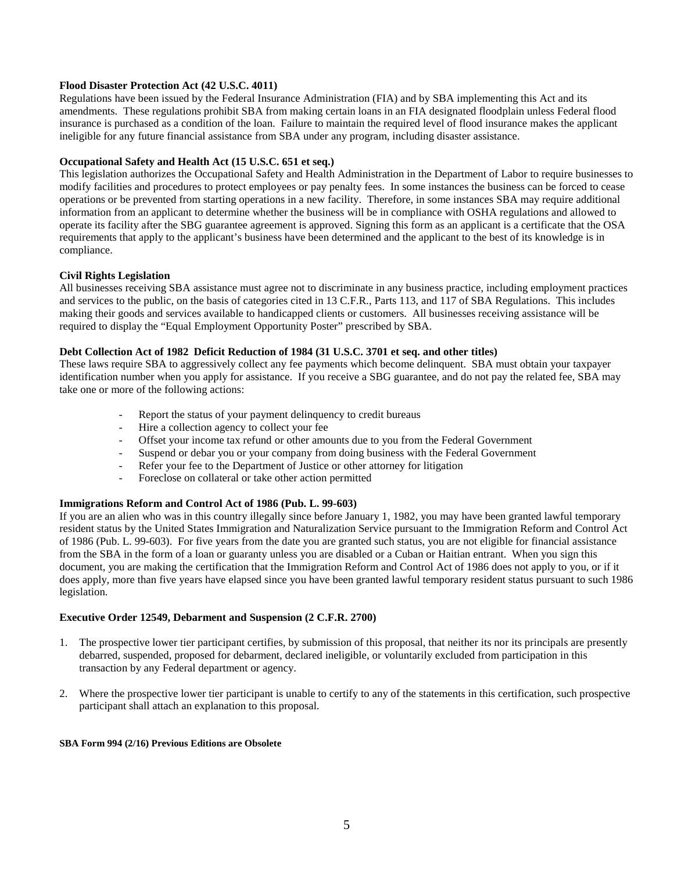# **Flood Disaster Protection Act (42 U.S.C. 4011)**

Regulations have been issued by the Federal Insurance Administration (FIA) and by SBA implementing this Act and its amendments. These regulations prohibit SBA from making certain loans in an FIA designated floodplain unless Federal flood insurance is purchased as a condition of the loan. Failure to maintain the required level of flood insurance makes the applicant ineligible for any future financial assistance from SBA under any program, including disaster assistance.

# **Occupational Safety and Health Act (15 U.S.C. 651 et seq.)**

This legislation authorizes the Occupational Safety and Health Administration in the Department of Labor to require businesses to modify facilities and procedures to protect employees or pay penalty fees. In some instances the business can be forced to cease operations or be prevented from starting operations in a new facility. Therefore, in some instances SBA may require additional information from an applicant to determine whether the business will be in compliance with OSHA regulations and allowed to operate its facility after the SBG guarantee agreement is approved. Signing this form as an applicant is a certificate that the OSA requirements that apply to the applicant's business have been determined and the applicant to the best of its knowledge is in compliance.

# **Civil Rights Legislation**

All businesses receiving SBA assistance must agree not to discriminate in any business practice, including employment practices and services to the public, on the basis of categories cited in 13 C.F.R., Parts 113, and 117 of SBA Regulations. This includes making their goods and services available to handicapped clients or customers. All businesses receiving assistance will be required to display the "Equal Employment Opportunity Poster" prescribed by SBA.

# **Debt Collection Act of 1982 Deficit Reduction of 1984 (31 U.S.C. 3701 et seq. and other titles)**

These laws require SBA to aggressively collect any fee payments which become delinquent. SBA must obtain your taxpayer identification number when you apply for assistance. If you receive a SBG guarantee, and do not pay the related fee, SBA may take one or more of the following actions:

- Report the status of your payment delinquency to credit bureaus
- Hire a collection agency to collect your fee
- Offset your income tax refund or other amounts due to you from the Federal Government
- Suspend or debar you or your company from doing business with the Federal Government
- Refer your fee to the Department of Justice or other attorney for litigation
- Foreclose on collateral or take other action permitted

#### **Immigrations Reform and Control Act of 1986 (Pub. L. 99-603)**

If you are an alien who was in this country illegally since before January 1, 1982, you may have been granted lawful temporary resident status by the United States Immigration and Naturalization Service pursuant to the Immigration Reform and Control Act of 1986 (Pub. L. 99-603). For five years from the date you are granted such status, you are not eligible for financial assistance from the SBA in the form of a loan or guaranty unless you are disabled or a Cuban or Haitian entrant. When you sign this document, you are making the certification that the Immigration Reform and Control Act of 1986 does not apply to you, or if it does apply, more than five years have elapsed since you have been granted lawful temporary resident status pursuant to such 1986 legislation.

#### **Executive Order 12549, Debarment and Suspension (2 C.F.R. 2700)**

- 1. The prospective lower tier participant certifies, by submission of this proposal, that neither its nor its principals are presently debarred, suspended, proposed for debarment, declared ineligible, or voluntarily excluded from participation in this transaction by any Federal department or agency.
- 2. Where the prospective lower tier participant is unable to certify to any of the statements in this certification, such prospective participant shall attach an explanation to this proposal.

#### **SBA Form 994 (2/16) Previous Editions are Obsolete**